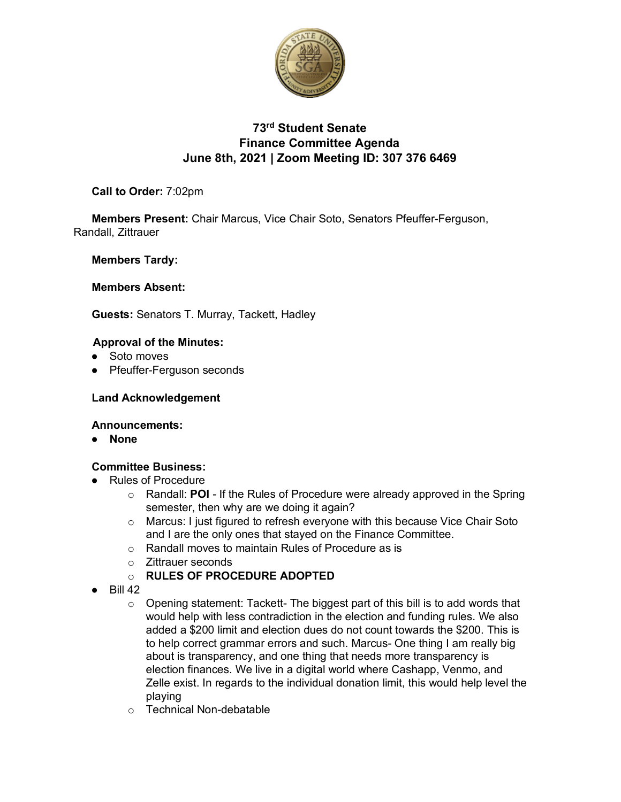

# **73rd Student Senate Finance Committee Agenda June 8th, 2021 | Zoom Meeting ID: 307 376 6469**

# **Call to Order:** 7:02pm

**Members Present:** Chair Marcus, Vice Chair Soto, Senators Pfeuffer-Ferguson, Randall, Zittrauer

## **Members Tardy:**

## **Members Absent:**

**Guests:** Senators T. Murray, Tackett, Hadley

### **Approval of the Minutes:**

- Soto moves
- Pfeuffer-Ferguson seconds

### **Land Acknowledgement**

#### **Announcements:**

● **None**

## **Committee Business:**

- Rules of Procedure
	- o Randall: **POI** If the Rules of Procedure were already approved in the Spring semester, then why are we doing it again?
	- o Marcus: I just figured to refresh everyone with this because Vice Chair Soto and I are the only ones that stayed on the Finance Committee.
	- o Randall moves to maintain Rules of Procedure as is
	- o Zittrauer seconds
	- o **RULES OF PROCEDURE ADOPTED**
- Bill 42
	- $\circ$  Opening statement: Tackett- The biggest part of this bill is to add words that would help with less contradiction in the election and funding rules. We also added a \$200 limit and election dues do not count towards the \$200. This is to help correct grammar errors and such. Marcus- One thing I am really big about is transparency, and one thing that needs more transparency is election finances. We live in a digital world where Cashapp, Venmo, and Zelle exist. In regards to the individual donation limit, this would help level the playing
	- o Technical Non-debatable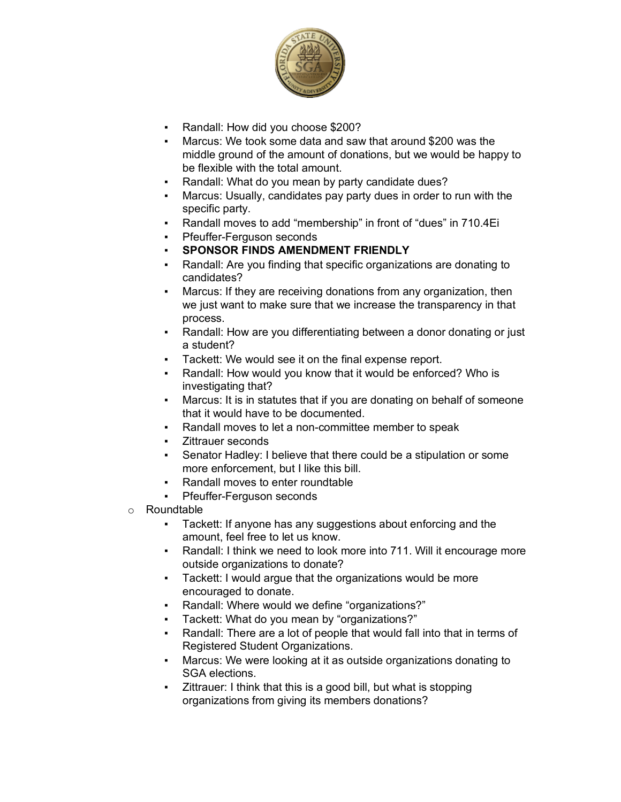

- Randall: How did you choose \$200?
- Marcus: We took some data and saw that around \$200 was the middle ground of the amount of donations, but we would be happy to be flexible with the total amount.
- Randall: What do you mean by party candidate dues?
- Marcus: Usually, candidates pay party dues in order to run with the specific party.
- Randall moves to add "membership" in front of "dues" in 710.4Ei
- Pfeuffer-Ferguson seconds
- **SPONSOR FINDS AMENDMENT FRIENDLY**
- Randall: Are you finding that specific organizations are donating to candidates?
- Marcus: If they are receiving donations from any organization, then we just want to make sure that we increase the transparency in that process.
- Randall: How are you differentiating between a donor donating or just a student?
- Tackett: We would see it on the final expense report.
- Randall: How would you know that it would be enforced? Who is investigating that?
- Marcus: It is in statutes that if you are donating on behalf of someone that it would have to be documented.
- Randall moves to let a non-committee member to speak
- Zittrauer seconds
- Senator Hadley: I believe that there could be a stipulation or some more enforcement, but I like this bill.
- Randall moves to enter roundtable
- Pfeuffer-Ferguson seconds
- o Roundtable
	- Tackett: If anyone has any suggestions about enforcing and the amount, feel free to let us know.
	- Randall: I think we need to look more into 711. Will it encourage more outside organizations to donate?
	- Tackett: I would argue that the organizations would be more encouraged to donate.
	- Randall: Where would we define "organizations?"
	- Tackett: What do you mean by "organizations?"
	- Randall: There are a lot of people that would fall into that in terms of Registered Student Organizations.
	- Marcus: We were looking at it as outside organizations donating to SGA elections.
	- Zittrauer: I think that this is a good bill, but what is stopping organizations from giving its members donations?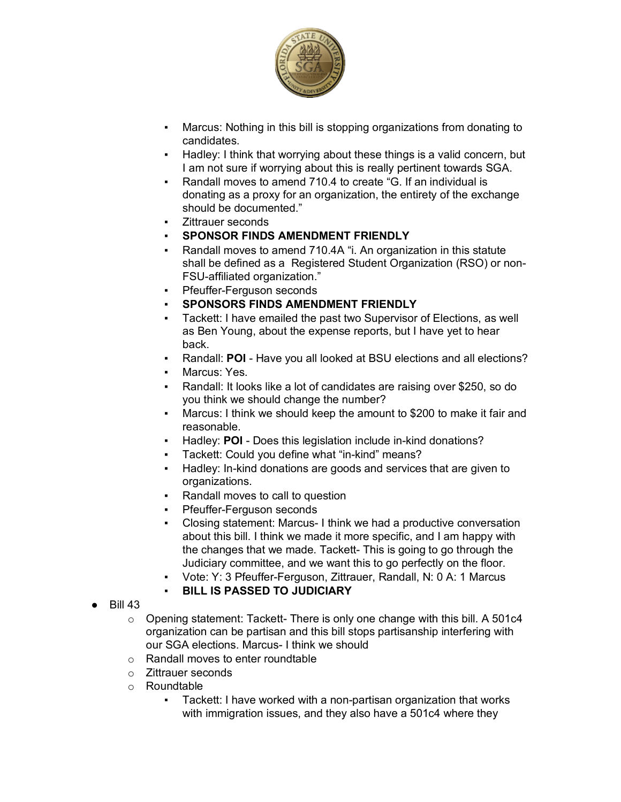

- Marcus: Nothing in this bill is stopping organizations from donating to candidates.
- Hadley: I think that worrying about these things is a valid concern, but I am not sure if worrying about this is really pertinent towards SGA.
- Randall moves to amend 710.4 to create "G. If an individual is donating as a proxy for an organization, the entirety of the exchange should be documented."
- Zittrauer seconds
- **SPONSOR FINDS AMENDMENT FRIENDLY**
- Randall moves to amend 710.4A "i. An organization in this statute shall be defined as a Registered Student Organization (RSO) or non-FSU-affiliated organization."
- Pfeuffer-Ferguson seconds
- **SPONSORS FINDS AMENDMENT FRIENDLY**
- Tackett: I have emailed the past two Supervisor of Elections, as well as Ben Young, about the expense reports, but I have yet to hear back.
- Randall: **POI** Have you all looked at BSU elections and all elections?
- Marcus: Yes.
- Randall: It looks like a lot of candidates are raising over \$250, so do you think we should change the number?
- Marcus: I think we should keep the amount to \$200 to make it fair and reasonable.
- Hadley: **POI** Does this legislation include in-kind donations?
- Tackett: Could you define what "in-kind" means?
- Hadley: In-kind donations are goods and services that are given to organizations.
- Randall moves to call to question
- Pfeuffer-Ferguson seconds
- Closing statement: Marcus- I think we had a productive conversation about this bill. I think we made it more specific, and I am happy with the changes that we made. Tackett- This is going to go through the Judiciary committee, and we want this to go perfectly on the floor.
- Vote: Y: 3 Pfeuffer-Ferguson, Zittrauer, Randall, N: 0 A: 1 Marcus
- **BILL IS PASSED TO JUDICIARY**
- Bill 43
	- $\circ$  Opening statement: Tackett- There is only one change with this bill. A 501c4 organization can be partisan and this bill stops partisanship interfering with our SGA elections. Marcus- I think we should
	- o Randall moves to enter roundtable
	- o Zittrauer seconds
	- o Roundtable
		- Tackett: I have worked with a non-partisan organization that works with immigration issues, and they also have a 501c4 where they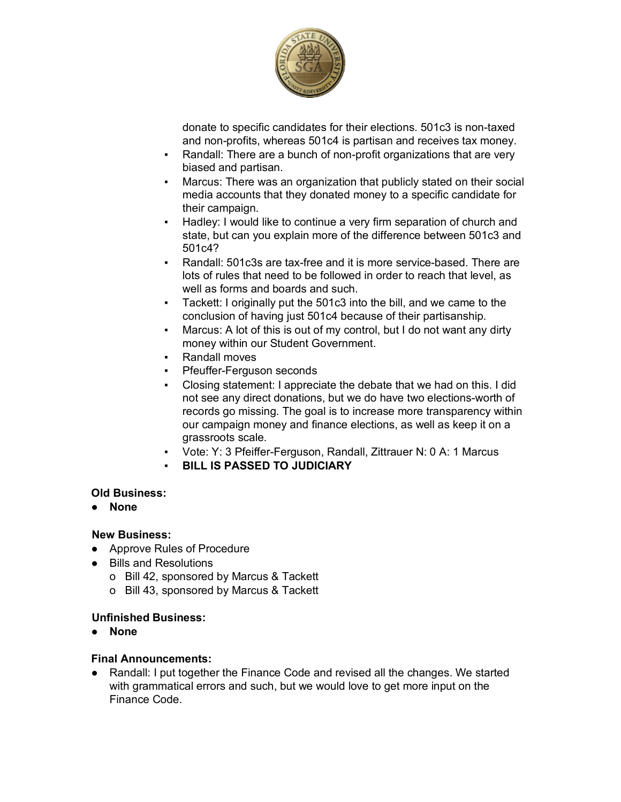

donate to specific candidates for their elections. 501c3 is non-taxed and non-profits, whereas 501c4 is partisan and receives tax money.

- Randall: There are a bunch of non-profit organizations that are very biased and partisan.
- Marcus: There was an organization that publicly stated on their social media accounts that they donated money to a specific candidate for their campaign.
- Hadley: I would like to continue a very firm separation of church and state, but can you explain more of the difference between 501c3 and 501c4?
- Randall: 501c3s are tax-free and it is more service-based. There are lots of rules that need to be followed in order to reach that level, as well as forms and boards and such.
- Tackett: I originally put the 501c3 into the bill, and we came to the conclusion of having just 501c4 because of their partisanship.
- Marcus: A lot of this is out of my control, but I do not want any dirty money within our Student Government.
- **Randall moves**
- Pfeuffer-Ferguson seconds
- Closing statement: I appreciate the debate that we had on this. I did not see any direct donations, but we do have two elections-worth of records go missing. The goal is to increase more transparency within our campaign money and finance elections, as well as keep it on a grassroots scale.
- Vote: Y: 3 Pfeiffer-Ferguson, Randall, Zittrauer N: 0 A: 1 Marcus
- **BILL IS PASSED TO JUDICIARY**

## **Old Business:**

● **None**

## **New Business:**

- Approve Rules of Procedure
- Bills and Resolutions
	- o Bill 42, sponsored by Marcus & Tackett
	- o Bill 43, sponsored by Marcus & Tackett

## **Unfinished Business:**

● **None**

## **Final Announcements:**

● Randall: I put together the Finance Code and revised all the changes. We started with grammatical errors and such, but we would love to get more input on the Finance Code.